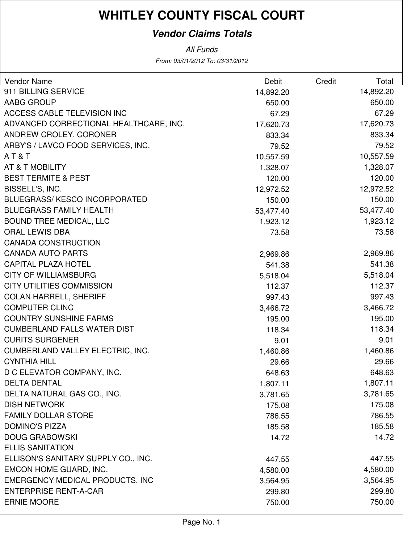### **Vendor Claims Totals**

From: 03/01/2012 To: 03/31/2012 All Funds

| Vendor Name                            | Debit     | Credit | Total     |
|----------------------------------------|-----------|--------|-----------|
| 911 BILLING SERVICE                    | 14,892.20 |        | 14,892.20 |
| AABG GROUP                             | 650.00    |        | 650.00    |
| ACCESS CABLE TELEVISION INC            | 67.29     |        | 67.29     |
| ADVANCED CORRECTIONAL HEALTHCARE, INC. | 17,620.73 |        | 17,620.73 |
| ANDREW CROLEY, CORONER                 | 833.34    |        | 833.34    |
| ARBY'S / LAVCO FOOD SERVICES, INC.     | 79.52     |        | 79.52     |
| AT&T                                   | 10,557.59 |        | 10,557.59 |
| AT & T MOBILITY                        | 1,328.07  |        | 1,328.07  |
| <b>BEST TERMITE &amp; PEST</b>         | 120.00    |        | 120.00    |
| BISSELL'S, INC.                        | 12,972.52 |        | 12,972.52 |
| <b>BLUEGRASS/KESCO INCORPORATED</b>    | 150.00    |        | 150.00    |
| <b>BLUEGRASS FAMILY HEALTH</b>         | 53,477.40 |        | 53,477.40 |
| <b>BOUND TREE MEDICAL, LLC</b>         | 1,923.12  |        | 1,923.12  |
| <b>ORAL LEWIS DBA</b>                  | 73.58     |        | 73.58     |
| <b>CANADA CONSTRUCTION</b>             |           |        |           |
| <b>CANADA AUTO PARTS</b>               | 2,969.86  |        | 2,969.86  |
| <b>CAPITAL PLAZA HOTEL</b>             | 541.38    |        | 541.38    |
| <b>CITY OF WILLIAMSBURG</b>            | 5,518.04  |        | 5,518.04  |
| <b>CITY UTILITIES COMMISSION</b>       | 112.37    |        | 112.37    |
| <b>COLAN HARRELL, SHERIFF</b>          | 997.43    |        | 997.43    |
| <b>COMPUTER CLINC</b>                  | 3,466.72  |        | 3,466.72  |
| <b>COUNTRY SUNSHINE FARMS</b>          | 195.00    |        | 195.00    |
| <b>CUMBERLAND FALLS WATER DIST</b>     | 118.34    |        | 118.34    |
| <b>CURITS SURGENER</b>                 | 9.01      |        | 9.01      |
| CUMBERLAND VALLEY ELECTRIC, INC.       | 1,460.86  |        | 1,460.86  |
| <b>CYNTHIA HILL</b>                    | 29.66     |        | 29.66     |
| D C ELEVATOR COMPANY, INC.             | 648.63    |        | 648.63    |
| <b>DELTA DENTAL</b>                    | 1,807.11  |        | 1,807.11  |
| DELTA NATURAL GAS CO., INC.            | 3,781.65  |        | 3,781.65  |
| <b>DISH NETWORK</b>                    | 175.08    |        | 175.08    |
| <b>FAMILY DOLLAR STORE</b>             | 786.55    |        | 786.55    |
| <b>DOMINO'S PIZZA</b>                  | 185.58    |        | 185.58    |
| <b>DOUG GRABOWSKI</b>                  | 14.72     |        | 14.72     |
| <b>ELLIS SANITATION</b>                |           |        |           |
| ELLISON'S SANITARY SUPPLY CO., INC.    | 447.55    |        | 447.55    |
| EMCON HOME GUARD, INC.                 | 4,580.00  |        | 4,580.00  |
| <b>EMERGENCY MEDICAL PRODUCTS, INC</b> | 3,564.95  |        | 3,564.95  |
| <b>ENTERPRISE RENT-A-CAR</b>           | 299.80    |        | 299.80    |
| <b>ERNIE MOORE</b>                     | 750.00    |        | 750.00    |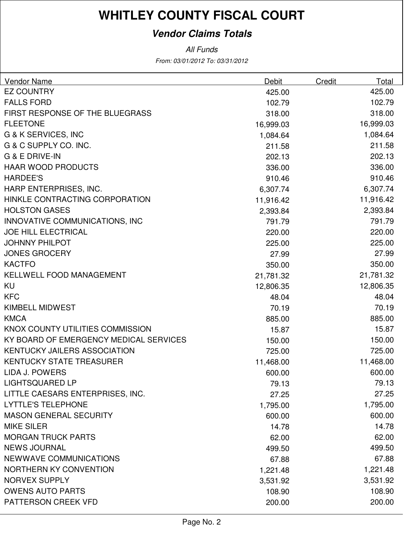### **Vendor Claims Totals**

From: 03/01/2012 To: 03/31/2012 All Funds

| Vendor Name                            | Debit     | Credit | Total     |
|----------------------------------------|-----------|--------|-----------|
| <b>EZ COUNTRY</b>                      | 425.00    |        | 425.00    |
| <b>FALLS FORD</b>                      | 102.79    |        | 102.79    |
| <b>FIRST RESPONSE OF THE BLUEGRASS</b> | 318.00    |        | 318.00    |
| <b>FLEETONE</b>                        | 16,999.03 |        | 16,999.03 |
| <b>G &amp; K SERVICES, INC</b>         | 1,084.64  |        | 1,084.64  |
| G & C SUPPLY CO. INC.                  | 211.58    |        | 211.58    |
| <b>G &amp; E DRIVE-IN</b>              | 202.13    |        | 202.13    |
| <b>HAAR WOOD PRODUCTS</b>              | 336.00    |        | 336.00    |
| <b>HARDEE'S</b>                        | 910.46    |        | 910.46    |
| HARP ENTERPRISES, INC.                 | 6,307.74  |        | 6,307.74  |
| HINKLE CONTRACTING CORPORATION         | 11,916.42 |        | 11,916.42 |
| <b>HOLSTON GASES</b>                   | 2,393.84  |        | 2,393.84  |
| INNOVATIVE COMMUNICATIONS, INC         | 791.79    |        | 791.79    |
| <b>JOE HILL ELECTRICAL</b>             | 220.00    |        | 220.00    |
| <b>JOHNNY PHILPOT</b>                  | 225.00    |        | 225.00    |
| <b>JONES GROCERY</b>                   | 27.99     |        | 27.99     |
| <b>KACTFO</b>                          | 350.00    |        | 350.00    |
| <b>KELLWELL FOOD MANAGEMENT</b>        | 21,781.32 |        | 21,781.32 |
| KU                                     | 12,806.35 |        | 12,806.35 |
| <b>KFC</b>                             | 48.04     |        | 48.04     |
| <b>KIMBELL MIDWEST</b>                 | 70.19     |        | 70.19     |
| <b>KMCA</b>                            | 885.00    |        | 885.00    |
| KNOX COUNTY UTILITIES COMMISSION       | 15.87     |        | 15.87     |
| KY BOARD OF EMERGENCY MEDICAL SERVICES | 150.00    |        | 150.00    |
| <b>KENTUCKY JAILERS ASSOCIATION</b>    | 725.00    |        | 725.00    |
| <b>KENTUCKY STATE TREASURER</b>        | 11,468.00 |        | 11,468.00 |
| LIDA J. POWERS                         | 600.00    |        | 600.00    |
| <b>LIGHTSQUARED LP</b>                 | 79.13     |        | 79.13     |
| LITTLE CAESARS ENTERPRISES, INC.       | 27.25     |        | 27.25     |
| <b>LYTTLE'S TELEPHONE</b>              | 1,795.00  |        | 1,795.00  |
| <b>MASON GENERAL SECURITY</b>          | 600.00    |        | 600.00    |
| <b>MIKE SILER</b>                      | 14.78     |        | 14.78     |
| <b>MORGAN TRUCK PARTS</b>              | 62.00     |        | 62.00     |
| <b>NEWS JOURNAL</b>                    | 499.50    |        | 499.50    |
| <b>NEWWAVE COMMUNICATIONS</b>          | 67.88     |        | 67.88     |
| NORTHERN KY CONVENTION                 | 1,221.48  |        | 1,221.48  |
| <b>NORVEX SUPPLY</b>                   | 3,531.92  |        | 3,531.92  |
| <b>OWENS AUTO PARTS</b>                | 108.90    |        | 108.90    |
| PATTERSON CREEK VFD                    | 200.00    |        | 200.00    |
|                                        |           |        |           |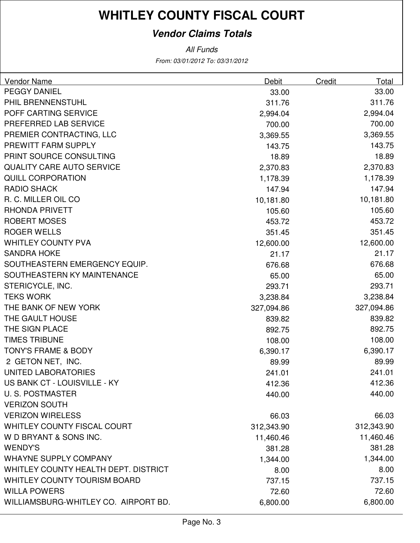### **Vendor Claims Totals**

From: 03/01/2012 To: 03/31/2012 All Funds

| <b>Vendor Name</b>                   | Debit      | Credit | Total      |
|--------------------------------------|------------|--------|------------|
| <b>PEGGY DANIEL</b>                  | 33.00      |        | 33.00      |
| PHIL BRENNENSTUHL                    | 311.76     |        | 311.76     |
| POFF CARTING SERVICE                 | 2,994.04   |        | 2,994.04   |
| PREFERRED LAB SERVICE                | 700.00     |        | 700.00     |
| PREMIER CONTRACTING, LLC             | 3,369.55   |        | 3,369.55   |
| PREWITT FARM SUPPLY                  | 143.75     |        | 143.75     |
| PRINT SOURCE CONSULTING              | 18.89      |        | 18.89      |
| <b>QUALITY CARE AUTO SERVICE</b>     | 2,370.83   |        | 2,370.83   |
| <b>QUILL CORPORATION</b>             | 1,178.39   |        | 1,178.39   |
| <b>RADIO SHACK</b>                   | 147.94     |        | 147.94     |
| R. C. MILLER OIL CO                  | 10,181.80  |        | 10,181.80  |
| <b>RHONDA PRIVETT</b>                | 105.60     |        | 105.60     |
| <b>ROBERT MOSES</b>                  | 453.72     |        | 453.72     |
| <b>ROGER WELLS</b>                   | 351.45     |        | 351.45     |
| <b>WHITLEY COUNTY PVA</b>            | 12,600.00  |        | 12,600.00  |
| <b>SANDRA HOKE</b>                   | 21.17      |        | 21.17      |
| SOUTHEASTERN EMERGENCY EQUIP.        | 676.68     |        | 676.68     |
| SOUTHEASTERN KY MAINTENANCE          | 65.00      |        | 65.00      |
| STERICYCLE, INC.                     | 293.71     |        | 293.71     |
| <b>TEKS WORK</b>                     | 3,238.84   |        | 3,238.84   |
| THE BANK OF NEW YORK                 | 327,094.86 |        | 327,094.86 |
| THE GAULT HOUSE                      | 839.82     |        | 839.82     |
| THE SIGN PLACE                       | 892.75     |        | 892.75     |
| <b>TIMES TRIBUNE</b>                 | 108.00     |        | 108.00     |
| <b>TONY'S FRAME &amp; BODY</b>       | 6,390.17   |        | 6,390.17   |
| 2 GETON NET, INC.                    | 89.99      |        | 89.99      |
| UNITED LABORATORIES                  | 241.01     |        | 241.01     |
| US BANK CT - LOUISVILLE - KY         | 412.36     |        | 412.36     |
| <b>U.S. POSTMASTER</b>               | 440.00     |        | 440.00     |
| <b>VERIZON SOUTH</b>                 |            |        |            |
| <b>VERIZON WIRELESS</b>              | 66.03      |        | 66.03      |
| <b>WHITLEY COUNTY FISCAL COURT</b>   | 312,343.90 |        | 312,343.90 |
| W D BRYANT & SONS INC.               | 11,460.46  |        | 11,460.46  |
| <b>WENDY'S</b>                       | 381.28     |        | 381.28     |
| <b>WHAYNE SUPPLY COMPANY</b>         | 1,344.00   |        | 1,344.00   |
| WHITLEY COUNTY HEALTH DEPT. DISTRICT | 8.00       |        | 8.00       |
| <b>WHITLEY COUNTY TOURISM BOARD</b>  | 737.15     |        | 737.15     |
| <b>WILLA POWERS</b>                  | 72.60      |        | 72.60      |
| WILLIAMSBURG-WHITLEY CO. AIRPORT BD. | 6,800.00   |        | 6,800.00   |